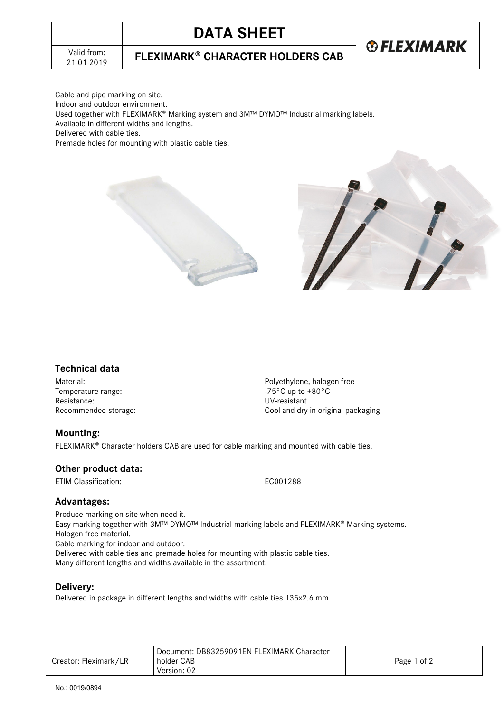# **DATA SHEET**



21-01-2019 **FLEXIMARK CHARACTER HOLDERS CAB**

Cable and pipe marking on site.

Indoor and outdoor environment.

Used together with FLEXIMARK® Marking system and 3M™ DYMO™ Industrial marking labels.

Available in different widths and lengths.

Delivered with cable ties.

Premade holes for mounting with plastic cable ties.





## **Technical data**

Temperature range:  $-75^{\circ}$ C up to +80°C Resistance:<br>
Recommended storage:<br>
Recommended storage:<br>
Cool and dry

Material: Material: example and the example of the Polyethylene, halogen free Cool and dry in original packaging

## **Mounting:**

FLEXIMARK<sup>®</sup> Character holders CAB are used for cable marking and mounted with cable ties.

## **Other product data:**

ETIM Classification: EC001288

## **Advantages:**

Produce marking on site when need it. Easy marking together with 3M™ DYMO™ Industrial marking labels and FLEXIMARK<sup>®</sup> Marking systems. Halogen free material. Cable marking for indoor and outdoor. Delivered with cable ties and premade holes for mounting with plastic cable ties.

Many different lengths and widths available in the assortment.

## **Delivery:**

Delivered in package in different lengths and widths with cable ties 135x2.6 mm

|                       | Document: DB83259091EN FLEXIMARK Character |             |
|-----------------------|--------------------------------------------|-------------|
| Creator: Fleximark/LR | holder CAB                                 | Page 1 of 2 |
|                       | Version: 02                                |             |